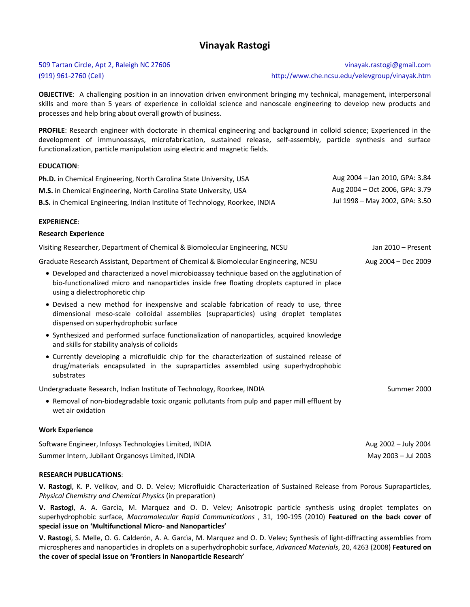# **Vinayak Rastogi**

# 509 Tartan Circle, Apt 2, Raleigh NC 27606 (919) 961‐2760 (Cell)

vinayak.rastogi@gmail.com http://www.che.ncsu.edu/velevgroup/vinayak.htm

May 2003 – Jul 2003

**OBJECTIVE**: A challenging position in an innovation driven environment bringing my technical, management, interpersonal skills and more than 5 years of experience in colloidal science and nanoscale engineering to develop new products and processes and help bring about overall growth of business.

**PROFILE**: Research engineer with doctorate in chemical engineering and background in colloid science; Experienced in the development of immunoassays, microfabrication, sustained release, self‐assembly, particle synthesis and surface functionalization, particle manipulation using electric and magnetic fields.

# **EDUCATION**:

| Ph.D. in Chemical Engineering, North Carolina State University, USA                 | Aug 2004 - Jan 2010, GPA: 3.84 |
|-------------------------------------------------------------------------------------|--------------------------------|
| <b>M.S.</b> in Chemical Engineering, North Carolina State University, USA           | Aug 2004 – Oct 2006, GPA: 3.79 |
| <b>B.S.</b> in Chemical Engineering, Indian Institute of Technology, Roorkee, INDIA | Jul 1998 – May 2002, GPA: 3.50 |

# **EXPERIENCE**:

# **Research Experience**

| Visiting Researcher, Department of Chemical & Biomolecular Engineering, NCSU                                                                                                                                                | Jan 2010 - Present   |  |
|-----------------------------------------------------------------------------------------------------------------------------------------------------------------------------------------------------------------------------|----------------------|--|
| Graduate Research Assistant, Department of Chemical & Biomolecular Engineering, NCSU                                                                                                                                        | Aug 2004 – Dec 2009  |  |
| • Developed and characterized a novel microbioassay technique based on the agglutination of<br>bio-functionalized micro and nanoparticles inside free floating droplets captured in place<br>using a dielectrophoretic chip |                      |  |
| • Devised a new method for inexpensive and scalable fabrication of ready to use, three<br>dimensional meso-scale colloidal assemblies (supraparticles) using droplet templates<br>dispensed on superhydrophobic surface     |                      |  |
| • Synthesized and performed surface functionalization of nanoparticles, acquired knowledge<br>and skills for stability analysis of colloids                                                                                 |                      |  |
| • Currently developing a microfluidic chip for the characterization of sustained release of<br>drug/materials encapsulated in the supraparticles assembled using superhydrophobic<br>substrates                             |                      |  |
| Undergraduate Research, Indian Institute of Technology, Roorkee, INDIA                                                                                                                                                      | Summer 2000          |  |
| • Removal of non-biodegradable toxic organic pollutants from pulp and paper mill effluent by<br>wet air oxidation                                                                                                           |                      |  |
| <b>Work Experience</b>                                                                                                                                                                                                      |                      |  |
| Software Engineer, Infosys Technologies Limited, INDIA                                                                                                                                                                      | Aug 2002 - July 2004 |  |

Summer Intern, Jubilant Organosys Limited, INDIA

# **RESEARCH PUBLICATIONS**:

**V. Rastogi**, K. P. Velikov, and O. D. Velev; Microfluidic Characterization of Sustained Release from Porous Supraparticles, *Physical Chemistry and Chemical Physics* (in preparation)

**V. Rastogi**, A. A. Garcìa, M. Marquez and O. D. Velev; Anisotropic particle synthesis using droplet templates on superhydrophobic surface, *Macromolecular Rapid Communications* , 31, 190‐195 (2010) **Featured on the back cover of special issue on 'Multifunctional Micro‐ and Nanoparticles'**

**V. Rastogi**, S. Melle, O. G. Calderón, A. A. Garcìa, M. Marquez and O. D. Velev; Synthesis of light‐diffracting assemblies from microspheres and nanoparticles in droplets on a superhydrophobic surface, *Advanced Materials*, 20, 4263 (2008) **Featured on the cover of special issue on 'Frontiers in Nanoparticle Research'**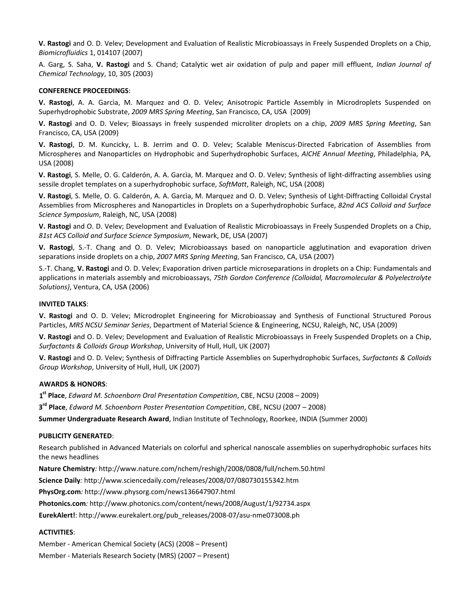**V. Rastogi** and O. D. Velev; Development and Evaluation of Realistic Microbioassays in Freely Suspended Droplets on a Chip, *Biomicrofluidics* 1, 014107 (2007)

A. Garg, S. Saha, **V. Rastogi** and S. Chand; Catalytic wet air oxidation of pulp and paper mill effluent, *Indian Journal of Chemical Technology*, 10, 305 (2003)

# **CONFERENCE PROCEEDINGS**:

**V. Rastogi**, A. A. Garcìa, M. Marquez and O. D. Velev; Anisotropic Particle Assembly in Microdroplets Suspended on Superhydrophobic Substrate, *2009 MRS Spring Meeting*, San Francisco, CA, USA (2009)

**V. Rastogi** and O. D. Velev; Bioassays in freely suspended microliter droplets on a chip, *2009 MRS Spring Meeting*, San Francisco, CA, USA (2009)

**V. Rastogi**, D. M. Kuncicky, L. B. Jerrim and O. D. Velev; Scalable Meniscus‐Directed Fabrication of Assemblies from Microspheres and Nanoparticles on Hydrophobic and Superhydrophobic Surfaces, *AICHE Annual Meeting*, Philadelphia, PA, USA (2008)

**V. Rastogi**, S. Melle, O. G. Calderón, A. A. Garcìa, M. Marquez and O. D. Velev; Synthesis of light‐diffracting assemblies using sessile droplet templates on a superhydrophobic surface, *SoftMatt*, Raleigh, NC, USA (2008)

**V. Rastogi**, S. Melle, O. G. Calderón, A. A. Garcìa, M. Marquez and O. D. Velev; Synthesis of Light‐Diffracting Colloidal Crystal Assemblies from Microspheres and Nanoparticles in Droplets on a Superhydrophobic Surface, *82nd ACS Colloid and Surface Science Symposium*, Raleigh, NC, USA (2008)

**V. Rastogi** and O. D. Velev; Development and Evaluation of Realistic Microbioassays in Freely Suspended Droplets on a Chip, *81st ACS Colloid and Surface Science Symposium*, Newark, DE, USA (2007)

**V. Rastogi**, S.‐T. Chang and O. D. Velev; Microbioassays based on nanoparticle agglutination and evaporation driven separations inside droplets on a chip, *2007 MRS Spring Meeting*, San Francisco, CA, USA (2007)

S.‐T. Chang, **V. Rastogi** and O. D. Velev; Evaporation driven particle microseparations in droplets on a Chip: Fundamentals and applications in materials assembly and microbioassays, *75th Gordon Conference (Colloidal, Macromolecular & Polyelectrolyte Solutions)*, Ventura, CA, USA (2006)

# **INVITED TALKS**:

**V. Rastogi** and O. D. Velev; Microdroplet Engineering for Microbioassay and Synthesis of Functional Structured Porous Particles, *MRS NCSU Seminar Series*, Department of Material Science & Engineering, NCSU, Raleigh, NC, USA (2009)

**V. Rastogi** and O. D. Velev; Development and Evaluation of Realistic Microbioassays in Freely Suspended Droplets on a Chip, *Surfactants & Colloids Group Workshop*, University of Hull, Hull, UK (2007)

**V. Rastogi** and O. D. Velev; Synthesis of Diffracting Particle Assemblies on Superhydrophobic Surfaces, *Surfactants & Colloids Group Workshop*, University of Hull, Hull, UK (2007)

#### **AWARDS & HONORS**:

**1 st Place**, *Edward M. Schoenborn Oral Presentation Competition*, CBE, NCSU (2008 – 2009)

**3rd Place**, *Edward M. Schoenborn Poster Presentation Competition*, CBE, NCSU (2007 – 2008)

**Summer Undergraduate Research Award**, Indian Institute of Technology, Roorkee, INDIA (Summer 2000)

#### **PUBLICITY GENERATED**:

Research published in Advanced Materials on colorful and spherical nanoscale assemblies on superhydrophobic surfaces hits the news headlines

**Nature Chemistry***:* http://www.nature.com/nchem/reshigh/2008/0808/full/nchem.50.html

**Science Daily***:* http://www.sciencedaily.com/releases/2008/07/080730155342.htm

**PhysOrg.com***:* http://www.physorg.com/news136647907.html

**Photonics.com***:* http://www.photonics.com/content/news/2008/August/1/92734.aspx

**EurekAlert!**: http://www.eurekalert.org/pub\_releases/2008‐07/asu‐nme073008.ph

# **ACTIVITIES**:

Member ‐ American Chemical Society (ACS) (2008 – Present) Member ‐ Materials Research Society (MRS) (2007 – Present)